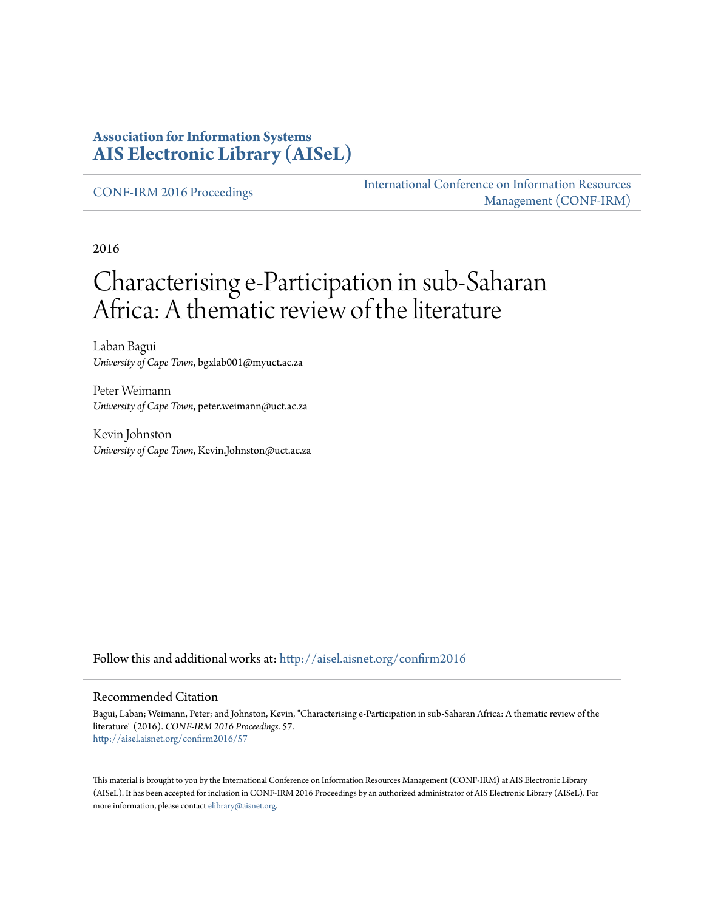#### **Association for Information Systems [AIS Electronic Library \(AISeL\)](http://aisel.aisnet.org?utm_source=aisel.aisnet.org%2Fconfirm2016%2F57&utm_medium=PDF&utm_campaign=PDFCoverPages)**

[CONF-IRM 2016 Proceedings](http://aisel.aisnet.org/confirm2016?utm_source=aisel.aisnet.org%2Fconfirm2016%2F57&utm_medium=PDF&utm_campaign=PDFCoverPages)

[International Conference on Information Resources](http://aisel.aisnet.org/conf-irm?utm_source=aisel.aisnet.org%2Fconfirm2016%2F57&utm_medium=PDF&utm_campaign=PDFCoverPages) [Management \(CONF-IRM\)](http://aisel.aisnet.org/conf-irm?utm_source=aisel.aisnet.org%2Fconfirm2016%2F57&utm_medium=PDF&utm_campaign=PDFCoverPages)

2016

# Characterising e-Participation in sub-Saharan Africa: A thematic review of the literature

Laban Bagui *University of Cape Town*, bgxlab001@myuct.ac.za

Peter Weimann *University of Cape Town*, peter.weimann@uct.ac.za

Kevin Johnston *University of Cape Town*, Kevin.Johnston@uct.ac.za

Follow this and additional works at: [http://aisel.aisnet.org/confirm2016](http://aisel.aisnet.org/confirm2016?utm_source=aisel.aisnet.org%2Fconfirm2016%2F57&utm_medium=PDF&utm_campaign=PDFCoverPages)

#### Recommended Citation

Bagui, Laban; Weimann, Peter; and Johnston, Kevin, "Characterising e-Participation in sub-Saharan Africa: A thematic review of the literature" (2016). *CONF-IRM 2016 Proceedings*. 57. [http://aisel.aisnet.org/confirm2016/57](http://aisel.aisnet.org/confirm2016/57?utm_source=aisel.aisnet.org%2Fconfirm2016%2F57&utm_medium=PDF&utm_campaign=PDFCoverPages)

This material is brought to you by the International Conference on Information Resources Management (CONF-IRM) at AIS Electronic Library (AISeL). It has been accepted for inclusion in CONF-IRM 2016 Proceedings by an authorized administrator of AIS Electronic Library (AISeL). For more information, please contact [elibrary@aisnet.org.](mailto:elibrary@aisnet.org%3E)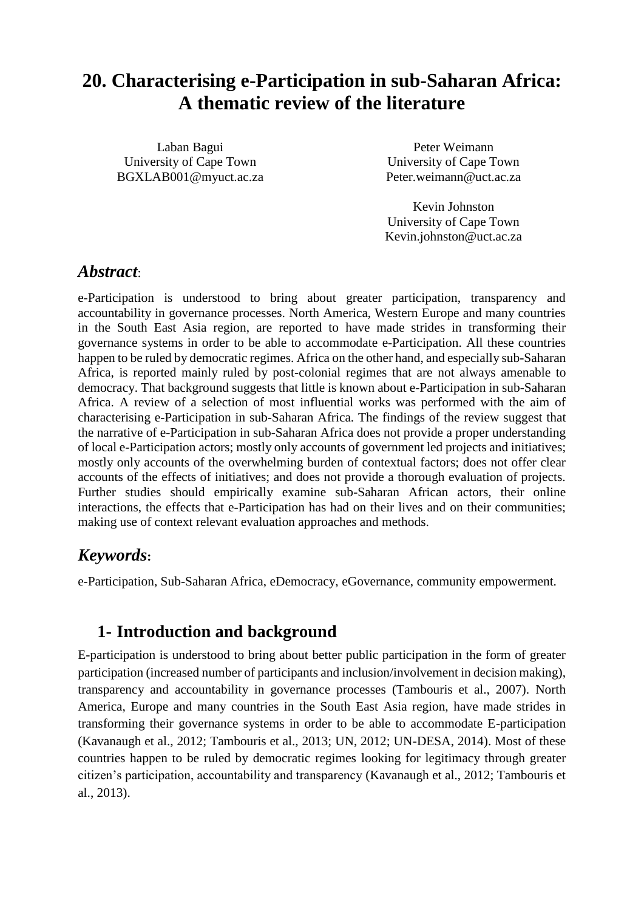## **20. Characterising e-Participation in sub-Saharan Africa: A thematic review of the literature**

Laban Bagui University of Cape Town BGXLAB001@myuct.ac.za

Peter Weimann University of Cape Town Peter.weimann@uct.ac.za

Kevin Johnston University of Cape Town Kevin.johnston@uct.ac.za

#### *Abstract*:

e-Participation is understood to bring about greater participation, transparency and accountability in governance processes. North America, Western Europe and many countries in the South East Asia region, are reported to have made strides in transforming their governance systems in order to be able to accommodate e-Participation. All these countries happen to be ruled by democratic regimes. Africa on the other hand, and especially sub-Saharan Africa, is reported mainly ruled by post-colonial regimes that are not always amenable to democracy. That background suggests that little is known about e-Participation in sub-Saharan Africa. A review of a selection of most influential works was performed with the aim of characterising e-Participation in sub-Saharan Africa. The findings of the review suggest that the narrative of e-Participation in sub-Saharan Africa does not provide a proper understanding of local e-Participation actors; mostly only accounts of government led projects and initiatives; mostly only accounts of the overwhelming burden of contextual factors; does not offer clear accounts of the effects of initiatives; and does not provide a thorough evaluation of projects. Further studies should empirically examine sub-Saharan African actors, their online interactions, the effects that e-Participation has had on their lives and on their communities; making use of context relevant evaluation approaches and methods.

### *Keywords***:**

e-Participation, Sub-Saharan Africa, eDemocracy, eGovernance, community empowerment.

### **1- Introduction and background**

E-participation is understood to bring about better public participation in the form of greater participation (increased number of participants and inclusion/involvement in decision making), transparency and accountability in governance processes (Tambouris et al., 2007). North America, Europe and many countries in the South East Asia region, have made strides in transforming their governance systems in order to be able to accommodate E-participation (Kavanaugh et al., 2012; Tambouris et al., 2013; UN, 2012; UN-DESA, 2014). Most of these countries happen to be ruled by democratic regimes looking for legitimacy through greater citizen's participation, accountability and transparency (Kavanaugh et al., 2012; Tambouris et al., 2013).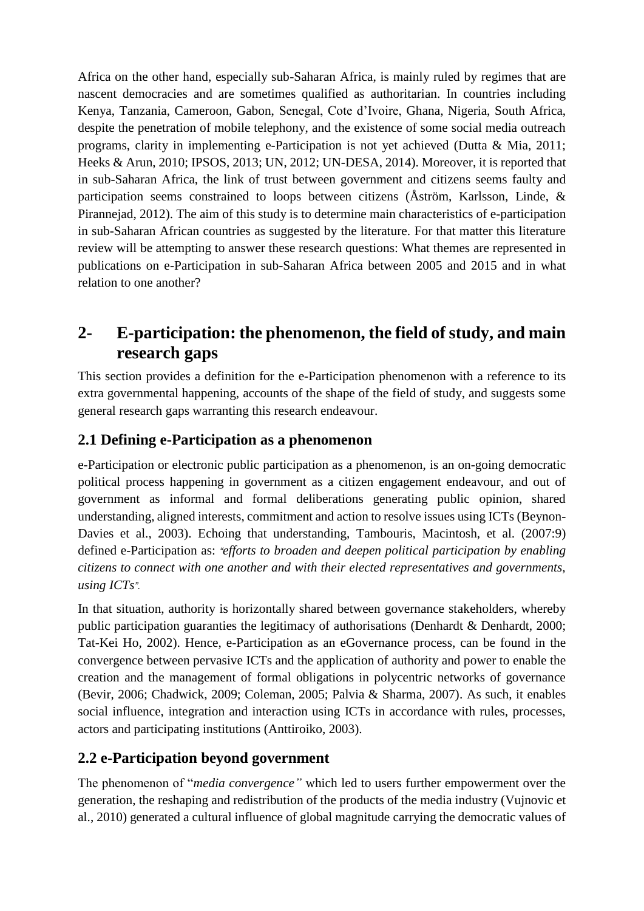Africa on the other hand, especially sub-Saharan Africa, is mainly ruled by regimes that are nascent democracies and are sometimes qualified as authoritarian. In countries including Kenya, Tanzania, Cameroon, Gabon, Senegal, Cote d'Ivoire, Ghana, Nigeria, South Africa, despite the penetration of mobile telephony, and the existence of some social media outreach programs, clarity in implementing e-Participation is not yet achieved (Dutta & Mia, 2011; Heeks & Arun, 2010; IPSOS, 2013; UN, 2012; UN-DESA, 2014). Moreover, it is reported that in sub-Saharan Africa, the link of trust between government and citizens seems faulty and participation seems constrained to loops between citizens (Åström, Karlsson, Linde, & Pirannejad, 2012). The aim of this study is to determine main characteristics of e-participation in sub-Saharan African countries as suggested by the literature. For that matter this literature review will be attempting to answer these research questions: What themes are represented in publications on e-Participation in sub-Saharan Africa between 2005 and 2015 and in what relation to one another?

## **2- E-participation: the phenomenon, the field of study, and main research gaps**

This section provides a definition for the e-Participation phenomenon with a reference to its extra governmental happening, accounts of the shape of the field of study, and suggests some general research gaps warranting this research endeavour.

### **2.1 Defining e-Participation as a phenomenon**

e-Participation or electronic public participation as a phenomenon, is an on-going democratic political process happening in government as a citizen engagement endeavour, and out of government as informal and formal deliberations generating public opinion, shared understanding, aligned interests, commitment and action to resolve issues using ICTs (Beynon-Davies et al., 2003). Echoing that understanding, Tambouris, Macintosh, et al. (2007:9) defined e-Participation as: *"efforts to broaden and deepen political participation by enabling citizens to connect with one another and with their elected representatives and governments, using ICTs".*

In that situation, authority is horizontally shared between governance stakeholders, whereby public participation guaranties the legitimacy of authorisations (Denhardt & Denhardt, 2000; Tat-Kei Ho, 2002). Hence, e-Participation as an eGovernance process, can be found in the convergence between pervasive ICTs and the application of authority and power to enable the creation and the management of formal obligations in polycentric networks of governance (Bevir, 2006; Chadwick, 2009; Coleman, 2005; Palvia & Sharma, 2007). As such, it enables social influence, integration and interaction using ICTs in accordance with rules, processes, actors and participating institutions (Anttiroiko, 2003).

### **2.2 e-Participation beyond government**

The phenomenon of "*media convergence"* which led to users further empowerment over the generation, the reshaping and redistribution of the products of the media industry (Vujnovic et al., 2010) generated a cultural influence of global magnitude carrying the democratic values of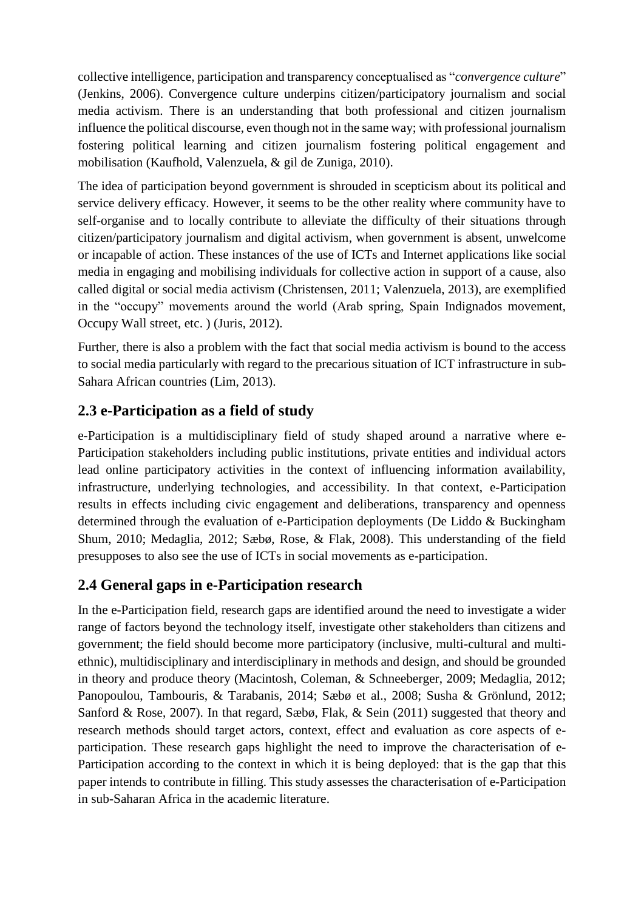collective intelligence, participation and transparency conceptualised as "*convergence culture*" (Jenkins, 2006). Convergence culture underpins citizen/participatory journalism and social media activism. There is an understanding that both professional and citizen journalism influence the political discourse, even though not in the same way; with professional journalism fostering political learning and citizen journalism fostering political engagement and mobilisation (Kaufhold, Valenzuela, & gil de Zuniga, 2010).

The idea of participation beyond government is shrouded in scepticism about its political and service delivery efficacy. However, it seems to be the other reality where community have to self-organise and to locally contribute to alleviate the difficulty of their situations through citizen/participatory journalism and digital activism, when government is absent, unwelcome or incapable of action. These instances of the use of ICTs and Internet applications like social media in engaging and mobilising individuals for collective action in support of a cause, also called digital or social media activism (Christensen, 2011; Valenzuela, 2013), are exemplified in the "occupy" movements around the world (Arab spring, Spain Indignados movement, Occupy Wall street, etc. ) (Juris, 2012).

Further, there is also a problem with the fact that social media activism is bound to the access to social media particularly with regard to the precarious situation of ICT infrastructure in sub-Sahara African countries (Lim, 2013).

#### **2.3 e-Participation as a field of study**

e-Participation is a multidisciplinary field of study shaped around a narrative where e-Participation stakeholders including public institutions, private entities and individual actors lead online participatory activities in the context of influencing information availability, infrastructure, underlying technologies, and accessibility. In that context, e-Participation results in effects including civic engagement and deliberations, transparency and openness determined through the evaluation of e-Participation deployments (De Liddo & Buckingham Shum, 2010; Medaglia, 2012; Sæbø, Rose, & Flak, 2008). This understanding of the field presupposes to also see the use of ICTs in social movements as e-participation.

#### **2.4 General gaps in e-Participation research**

In the e-Participation field, research gaps are identified around the need to investigate a wider range of factors beyond the technology itself, investigate other stakeholders than citizens and government; the field should become more participatory (inclusive, multi-cultural and multiethnic), multidisciplinary and interdisciplinary in methods and design, and should be grounded in theory and produce theory (Macintosh, Coleman, & Schneeberger, 2009; Medaglia, 2012; Panopoulou, Tambouris, & Tarabanis, 2014; Sæbø et al., 2008; Susha & Grönlund, 2012; Sanford & Rose, 2007). In that regard, Sæbø, Flak, & Sein (2011) suggested that theory and research methods should target actors, context, effect and evaluation as core aspects of eparticipation. These research gaps highlight the need to improve the characterisation of e-Participation according to the context in which it is being deployed: that is the gap that this paper intends to contribute in filling. This study assesses the characterisation of e-Participation in sub-Saharan Africa in the academic literature.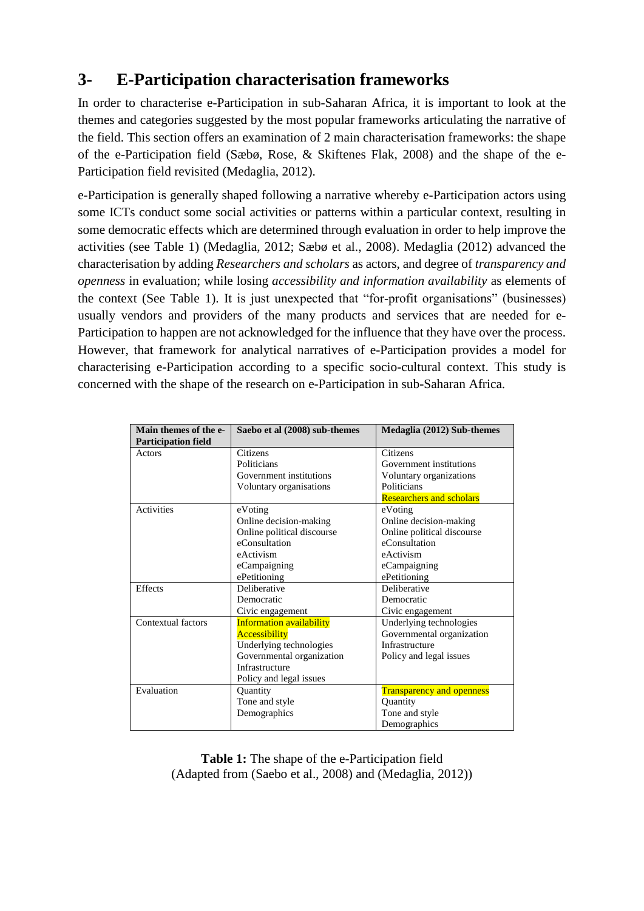## **3- E-Participation characterisation frameworks**

In order to characterise e-Participation in sub-Saharan Africa, it is important to look at the themes and categories suggested by the most popular frameworks articulating the narrative of the field. This section offers an examination of 2 main characterisation frameworks: the shape of the e-Participation field (Sæbø, Rose, & Skiftenes Flak, 2008) and the shape of the e-Participation field revisited (Medaglia, 2012).

e-Participation is generally shaped following a narrative whereby e-Participation actors using some ICTs conduct some social activities or patterns within a particular context, resulting in some democratic effects which are determined through evaluation in order to help improve the activities (see Table 1) (Medaglia, 2012; Sæbø et al., 2008). Medaglia (2012) advanced the characterisation by adding *Researchers and scholars* as actors, and degree of *transparency and openness* in evaluation; while losing *accessibility and information availability* as elements of the context (See Table 1). It is just unexpected that "for-profit organisations" (businesses) usually vendors and providers of the many products and services that are needed for e-Participation to happen are not acknowledged for the influence that they have over the process. However, that framework for analytical narratives of e-Participation provides a model for characterising e-Participation according to a specific socio-cultural context. This study is concerned with the shape of the research on e-Participation in sub-Saharan Africa.

| Main themes of the e-      | Saebo et al (2008) sub-themes   | Medaglia (2012) Sub-themes       |  |
|----------------------------|---------------------------------|----------------------------------|--|
| <b>Participation field</b> |                                 |                                  |  |
| Actors                     | Citizens                        | Citizens                         |  |
|                            | Politicians                     | Government institutions          |  |
|                            | Government institutions         | Voluntary organizations          |  |
|                            | Voluntary organisations         | Politicians                      |  |
|                            |                                 | <b>Researchers and scholars</b>  |  |
| <b>Activities</b>          | eVoting                         | eVoting                          |  |
|                            | Online decision-making          | Online decision-making           |  |
|                            | Online political discourse      | Online political discourse       |  |
|                            | eConsultation                   | eConsultation                    |  |
|                            | eActivism                       | eActivism                        |  |
|                            | eCampaigning                    | eCampaigning                     |  |
|                            | ePetitioning                    | ePetitioning                     |  |
| <b>Effects</b>             | Deliberative                    | Deliberative                     |  |
|                            | Democratic                      | Democratic                       |  |
|                            | Civic engagement                | Civic engagement                 |  |
| Contextual factors         | <b>Information availability</b> | Underlying technologies          |  |
|                            | Accessibility                   | Governmental organization        |  |
|                            | Underlying technologies         | Infrastructure                   |  |
|                            | Governmental organization       | Policy and legal issues          |  |
|                            | Infrastructure                  |                                  |  |
|                            | Policy and legal issues         |                                  |  |
| Evaluation                 | Quantity                        | <b>Transparency and openness</b> |  |
|                            | Tone and style                  | Quantity                         |  |
|                            | Demographics                    | Tone and style                   |  |
|                            |                                 | Demographics                     |  |

**Table 1:** The shape of the e-Participation field (Adapted from (Saebo et al., 2008) and (Medaglia, 2012))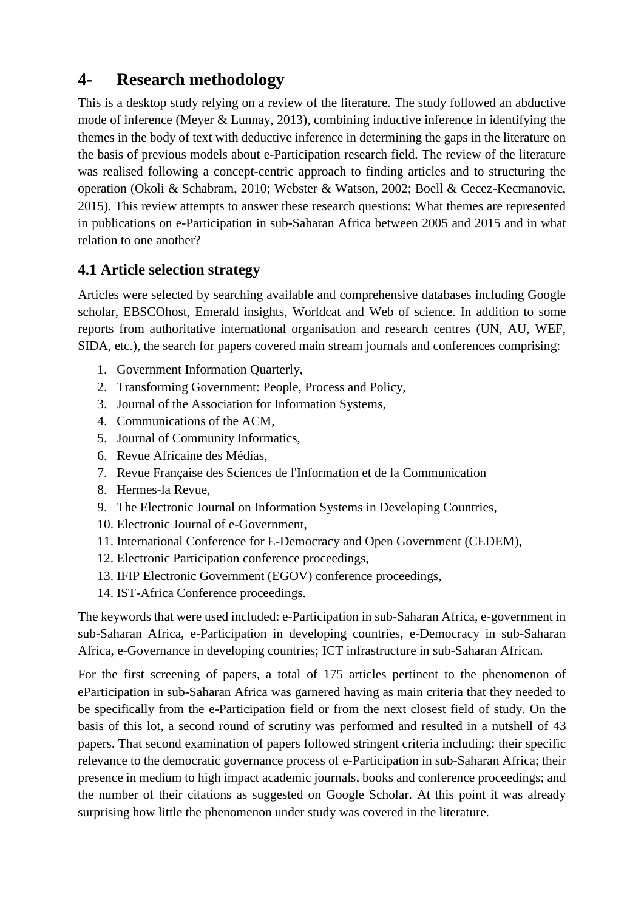## **4- Research methodology**

This is a desktop study relying on a review of the literature. The study followed an abductive mode of inference (Meyer & Lunnay, 2013), combining inductive inference in identifying the themes in the body of text with deductive inference in determining the gaps in the literature on the basis of previous models about e-Participation research field. The review of the literature was realised following a concept-centric approach to finding articles and to structuring the operation (Okoli & Schabram, 2010; Webster & Watson, 2002; Boell & Cecez-Kecmanovic, 2015). This review attempts to answer these research questions: What themes are represented in publications on e-Participation in sub-Saharan Africa between 2005 and 2015 and in what relation to one another?

#### **4.1 Article selection strategy**

Articles were selected by searching available and comprehensive databases including Google scholar, EBSCOhost, Emerald insights, Worldcat and Web of science. In addition to some reports from authoritative international organisation and research centres (UN, AU, WEF, SIDA, etc.), the search for papers covered main stream journals and conferences comprising:

- 1. Government Information Quarterly,
- 2. Transforming Government: People, Process and Policy,
- 3. Journal of the Association for Information Systems,
- 4. Communications of the ACM,
- 5. Journal of Community Informatics,
- 6. Revue Africaine des Médias,
- 7. Revue Française des Sciences de l'Information et de la Communication
- 8. Hermes-la Revue,
- 9. The Electronic Journal on Information Systems in Developing Countries,
- 10. Electronic Journal of e-Government,
- 11. International Conference for E-Democracy and Open Government (CEDEM),
- 12. Electronic Participation conference proceedings,
- 13. IFIP Electronic Government (EGOV) conference proceedings,
- 14. IST-Africa Conference proceedings.

The keywords that were used included: e-Participation in sub-Saharan Africa, e-government in sub-Saharan Africa, e-Participation in developing countries, e-Democracy in sub-Saharan Africa, e-Governance in developing countries; ICT infrastructure in sub-Saharan African.

For the first screening of papers, a total of 175 articles pertinent to the phenomenon of eParticipation in sub-Saharan Africa was garnered having as main criteria that they needed to be specifically from the e-Participation field or from the next closest field of study. On the basis of this lot, a second round of scrutiny was performed and resulted in a nutshell of 43 papers. That second examination of papers followed stringent criteria including: their specific relevance to the democratic governance process of e-Participation in sub-Saharan Africa; their presence in medium to high impact academic journals, books and conference proceedings; and the number of their citations as suggested on Google Scholar. At this point it was already surprising how little the phenomenon under study was covered in the literature.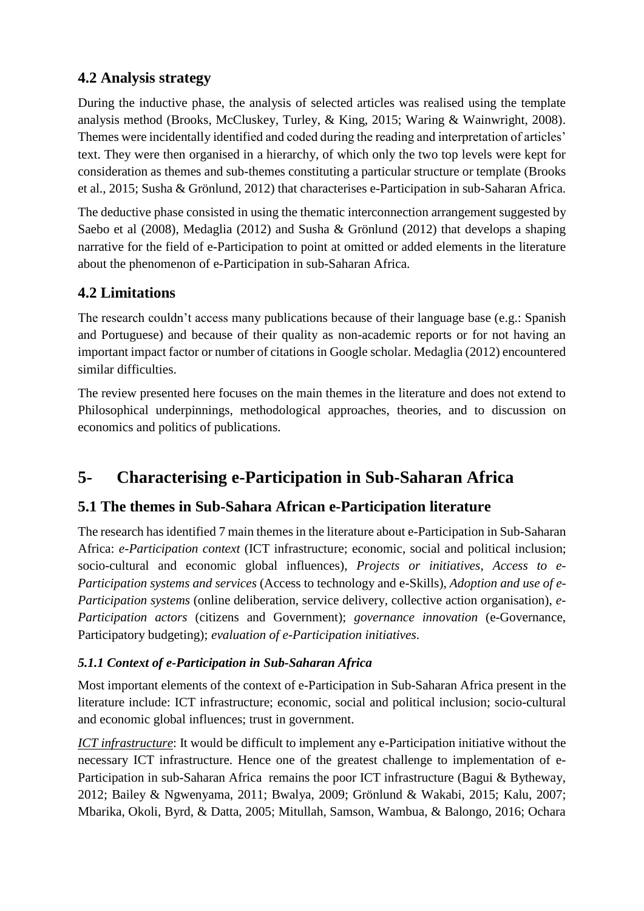### **4.2 Analysis strategy**

During the inductive phase, the analysis of selected articles was realised using the template analysis method (Brooks, McCluskey, Turley, & King, 2015; Waring & Wainwright, 2008). Themes were incidentally identified and coded during the reading and interpretation of articles' text. They were then organised in a hierarchy, of which only the two top levels were kept for consideration as themes and sub-themes constituting a particular structure or template (Brooks et al., 2015; Susha & Grönlund, 2012) that characterises e-Participation in sub-Saharan Africa.

The deductive phase consisted in using the thematic interconnection arrangement suggested by Saebo et al (2008), Medaglia (2012) and Susha & Grönlund (2012) that develops a shaping narrative for the field of e-Participation to point at omitted or added elements in the literature about the phenomenon of e-Participation in sub-Saharan Africa.

## **4.2 Limitations**

The research couldn't access many publications because of their language base (e.g.: Spanish and Portuguese) and because of their quality as non-academic reports or for not having an important impact factor or number of citations in Google scholar. Medaglia (2012) encountered similar difficulties.

The review presented here focuses on the main themes in the literature and does not extend to Philosophical underpinnings, methodological approaches, theories, and to discussion on economics and politics of publications.

## **5- Characterising e-Participation in Sub-Saharan Africa**

### **5.1 The themes in Sub-Sahara African e-Participation literature**

The research has identified 7 main themes in the literature about e-Participation in Sub-Saharan Africa: *e-Participation context* (ICT infrastructure; economic, social and political inclusion; socio-cultural and economic global influences), *Projects or initiatives*, *Access to e-Participation systems and services* (Access to technology and e-Skills), *Adoption and use of e-Participation systems* (online deliberation, service delivery, collective action organisation), *e-Participation actors* (citizens and Government); *governance innovation* (e-Governance, Participatory budgeting); *evaluation of e-Participation initiatives*.

#### *5.1.1 Context of e-Participation in Sub-Saharan Africa*

Most important elements of the context of e-Participation in Sub-Saharan Africa present in the literature include: ICT infrastructure; economic, social and political inclusion; socio-cultural and economic global influences; trust in government.

*ICT infrastructure*: It would be difficult to implement any e-Participation initiative without the necessary ICT infrastructure. Hence one of the greatest challenge to implementation of e-Participation in sub-Saharan Africa remains the poor ICT infrastructure (Bagui & Bytheway, 2012; Bailey & Ngwenyama, 2011; Bwalya, 2009; Grönlund & Wakabi, 2015; Kalu, 2007; Mbarika, Okoli, Byrd, & Datta, 2005; Mitullah, Samson, Wambua, & Balongo, 2016; Ochara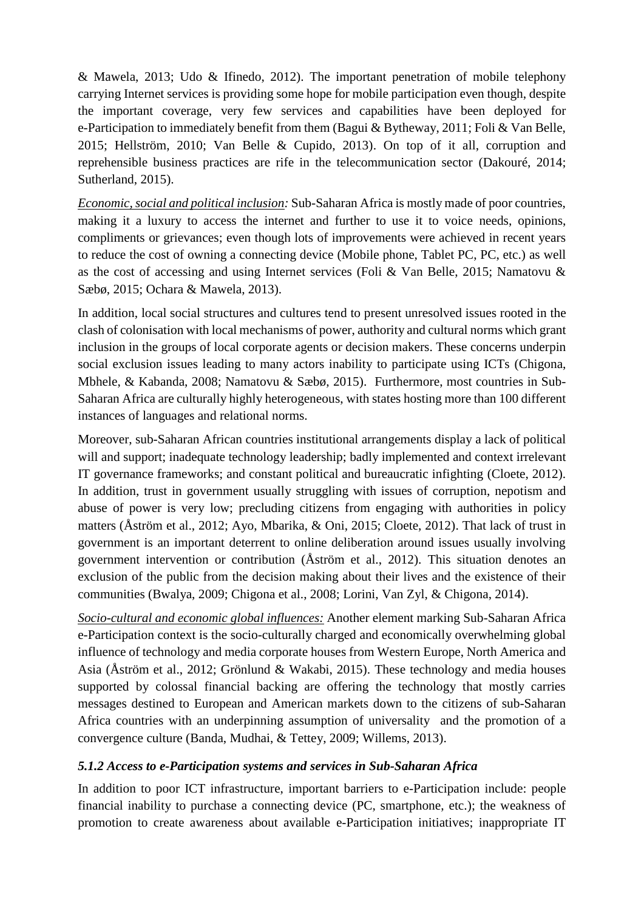& Mawela, 2013; Udo & Ifinedo, 2012). The important penetration of mobile telephony carrying Internet services is providing some hope for mobile participation even though, despite the important coverage, very few services and capabilities have been deployed for e-Participation to immediately benefit from them (Bagui & Bytheway, 2011; Foli & Van Belle, 2015; Hellström, 2010; Van Belle & Cupido, 2013). On top of it all, corruption and reprehensible business practices are rife in the telecommunication sector (Dakouré, 2014; Sutherland, 2015).

*Economic, social and political inclusion:* Sub-Saharan Africa is mostly made of poor countries, making it a luxury to access the internet and further to use it to voice needs, opinions, compliments or grievances; even though lots of improvements were achieved in recent years to reduce the cost of owning a connecting device (Mobile phone, Tablet PC, PC, etc.) as well as the cost of accessing and using Internet services (Foli & Van Belle, 2015; Namatovu & Sæbø, 2015; Ochara & Mawela, 2013).

In addition, local social structures and cultures tend to present unresolved issues rooted in the clash of colonisation with local mechanisms of power, authority and cultural norms which grant inclusion in the groups of local corporate agents or decision makers. These concerns underpin social exclusion issues leading to many actors inability to participate using ICTs (Chigona, Mbhele, & Kabanda, 2008; Namatovu & Sæbø, 2015). Furthermore, most countries in Sub-Saharan Africa are culturally highly heterogeneous, with states hosting more than 100 different instances of languages and relational norms.

Moreover, sub-Saharan African countries institutional arrangements display a lack of political will and support; inadequate technology leadership; badly implemented and context irrelevant IT governance frameworks; and constant political and bureaucratic infighting (Cloete, 2012). In addition, trust in government usually struggling with issues of corruption, nepotism and abuse of power is very low; precluding citizens from engaging with authorities in policy matters (Åström et al., 2012; Ayo, Mbarika, & Oni, 2015; Cloete, 2012). That lack of trust in government is an important deterrent to online deliberation around issues usually involving government intervention or contribution (Åström et al., 2012). This situation denotes an exclusion of the public from the decision making about their lives and the existence of their communities (Bwalya, 2009; Chigona et al., 2008; Lorini, Van Zyl, & Chigona, 2014).

*Socio-cultural and economic global influences:* Another element marking Sub-Saharan Africa e-Participation context is the socio-culturally charged and economically overwhelming global influence of technology and media corporate houses from Western Europe, North America and Asia (Åström et al., 2012; Grönlund & Wakabi, 2015). These technology and media houses supported by colossal financial backing are offering the technology that mostly carries messages destined to European and American markets down to the citizens of sub-Saharan Africa countries with an underpinning assumption of universality and the promotion of a convergence culture (Banda, Mudhai, & Tettey, 2009; Willems, 2013).

#### *5.1.2 Access to e-Participation systems and services in Sub-Saharan Africa*

In addition to poor ICT infrastructure, important barriers to e-Participation include: people financial inability to purchase a connecting device (PC, smartphone, etc.); the weakness of promotion to create awareness about available e-Participation initiatives; inappropriate IT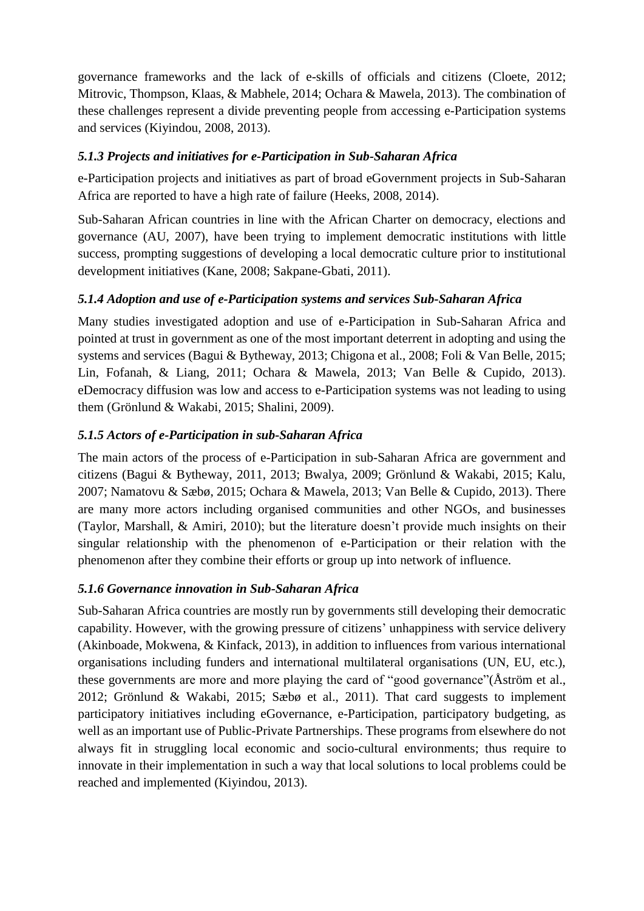governance frameworks and the lack of e-skills of officials and citizens (Cloete, 2012; Mitrovic, Thompson, Klaas, & Mabhele, 2014; Ochara & Mawela, 2013). The combination of these challenges represent a divide preventing people from accessing e-Participation systems and services (Kiyindou, 2008, 2013).

#### *5.1.3 Projects and initiatives for e-Participation in Sub-Saharan Africa*

e-Participation projects and initiatives as part of broad eGovernment projects in Sub-Saharan Africa are reported to have a high rate of failure (Heeks, 2008, 2014).

Sub-Saharan African countries in line with the African Charter on democracy, elections and governance (AU, 2007), have been trying to implement democratic institutions with little success, prompting suggestions of developing a local democratic culture prior to institutional development initiatives (Kane, 2008; Sakpane-Gbati, 2011).

#### *5.1.4 Adoption and use of e-Participation systems and services Sub-Saharan Africa*

Many studies investigated adoption and use of e-Participation in Sub-Saharan Africa and pointed at trust in government as one of the most important deterrent in adopting and using the systems and services (Bagui & Bytheway, 2013; Chigona et al., 2008; Foli & Van Belle, 2015; Lin, Fofanah, & Liang, 2011; Ochara & Mawela, 2013; Van Belle & Cupido, 2013). eDemocracy diffusion was low and access to e-Participation systems was not leading to using them (Grönlund & Wakabi, 2015; Shalini, 2009).

#### *5.1.5 Actors of e-Participation in sub-Saharan Africa*

The main actors of the process of e-Participation in sub-Saharan Africa are government and citizens (Bagui & Bytheway, 2011, 2013; Bwalya, 2009; Grönlund & Wakabi, 2015; Kalu, 2007; Namatovu & Sæbø, 2015; Ochara & Mawela, 2013; Van Belle & Cupido, 2013). There are many more actors including organised communities and other NGOs, and businesses (Taylor, Marshall, & Amiri, 2010); but the literature doesn't provide much insights on their singular relationship with the phenomenon of e-Participation or their relation with the phenomenon after they combine their efforts or group up into network of influence.

#### *5.1.6 Governance innovation in Sub-Saharan Africa*

Sub-Saharan Africa countries are mostly run by governments still developing their democratic capability. However, with the growing pressure of citizens' unhappiness with service delivery (Akinboade, Mokwena, & Kinfack, 2013), in addition to influences from various international organisations including funders and international multilateral organisations (UN, EU, etc.), these governments are more and more playing the card of "good governance"(Åström et al., 2012; Grönlund & Wakabi, 2015; Sæbø et al., 2011). That card suggests to implement participatory initiatives including eGovernance, e-Participation, participatory budgeting, as well as an important use of Public-Private Partnerships. These programs from elsewhere do not always fit in struggling local economic and socio-cultural environments; thus require to innovate in their implementation in such a way that local solutions to local problems could be reached and implemented (Kiyindou, 2013).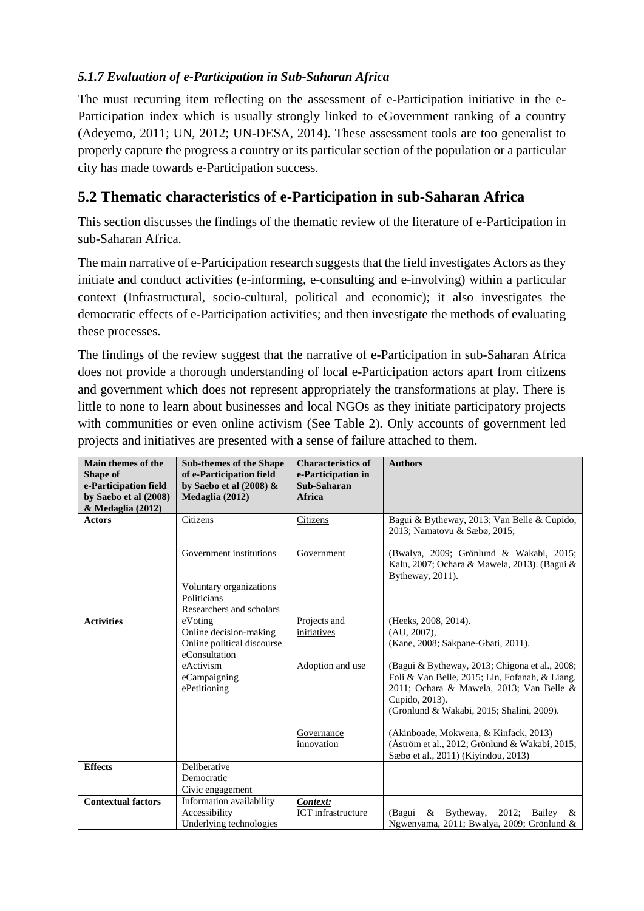#### *5.1.7 Evaluation of e-Participation in Sub-Saharan Africa*

The must recurring item reflecting on the assessment of e-Participation initiative in the e-Participation index which is usually strongly linked to eGovernment ranking of a country (Adeyemo, 2011; UN, 2012; UN-DESA, 2014). These assessment tools are too generalist to properly capture the progress a country or its particular section of the population or a particular city has made towards e-Participation success.

### **5.2 Thematic characteristics of e-Participation in sub-Saharan Africa**

This section discusses the findings of the thematic review of the literature of e-Participation in sub-Saharan Africa.

The main narrative of e-Participation research suggests that the field investigates Actors as they initiate and conduct activities (e-informing, e-consulting and e-involving) within a particular context (Infrastructural, socio-cultural, political and economic); it also investigates the democratic effects of e-Participation activities; and then investigate the methods of evaluating these processes.

The findings of the review suggest that the narrative of e-Participation in sub-Saharan Africa does not provide a thorough understanding of local e-Participation actors apart from citizens and government which does not represent appropriately the transformations at play. There is little to none to learn about businesses and local NGOs as they initiate participatory projects with communities or even online activism (See Table 2). Only accounts of government led projects and initiatives are presented with a sense of failure attached to them.

| Main themes of the<br>Shape of<br>e-Participation field<br>by Saebo et al (2008) | <b>Sub-themes of the Shape</b><br>of e-Participation field<br>by Saebo et al $(2008)$ &<br>Medaglia (2012) | <b>Characteristics of</b><br>e-Participation in<br>Sub-Saharan<br><b>Africa</b> | <b>Authors</b>                                                                                              |
|----------------------------------------------------------------------------------|------------------------------------------------------------------------------------------------------------|---------------------------------------------------------------------------------|-------------------------------------------------------------------------------------------------------------|
| & Medaglia (2012)                                                                |                                                                                                            |                                                                                 |                                                                                                             |
| <b>Actors</b>                                                                    | Citizens                                                                                                   | Citizens                                                                        | Bagui & Bytheway, 2013; Van Belle & Cupido,<br>2013; Namatovu & Sæbø, 2015;                                 |
|                                                                                  | Government institutions                                                                                    | Government                                                                      | (Bwalya, 2009; Grönlund & Wakabi, 2015;<br>Kalu, 2007; Ochara & Mawela, 2013). (Bagui &<br>Bytheway, 2011). |
|                                                                                  | Voluntary organizations<br>Politicians<br>Researchers and scholars                                         |                                                                                 |                                                                                                             |
| <b>Activities</b>                                                                | eVoting                                                                                                    | Projects and                                                                    | (Heeks, 2008, 2014).                                                                                        |
|                                                                                  | Online decision-making                                                                                     | initiatives                                                                     | (AU, 2007),                                                                                                 |
|                                                                                  | Online political discourse                                                                                 |                                                                                 | (Kane, 2008; Sakpane-Gbati, 2011).                                                                          |
|                                                                                  | eConsultation                                                                                              |                                                                                 |                                                                                                             |
|                                                                                  | eActivism                                                                                                  | Adoption and use                                                                | (Bagui & Bytheway, 2013; Chigona et al., 2008;                                                              |
|                                                                                  | eCampaigning                                                                                               |                                                                                 | Foli & Van Belle, 2015; Lin, Fofanah, & Liang,                                                              |
|                                                                                  | ePetitioning                                                                                               |                                                                                 | 2011; Ochara & Mawela, 2013; Van Belle &                                                                    |
|                                                                                  |                                                                                                            |                                                                                 | Cupido, 2013).                                                                                              |
|                                                                                  |                                                                                                            |                                                                                 | (Grönlund & Wakabi, 2015; Shalini, 2009).                                                                   |
|                                                                                  |                                                                                                            |                                                                                 |                                                                                                             |
|                                                                                  |                                                                                                            | Governance                                                                      | (Akinboade, Mokwena, & Kinfack, 2013)                                                                       |
|                                                                                  |                                                                                                            | innovation                                                                      | (Åström et al., 2012; Grönlund & Wakabi, 2015;                                                              |
|                                                                                  |                                                                                                            |                                                                                 | Sæbø et al., 2011) (Kiyindou, 2013)                                                                         |
| <b>Effects</b>                                                                   | Deliberative                                                                                               |                                                                                 |                                                                                                             |
|                                                                                  | Democratic                                                                                                 |                                                                                 |                                                                                                             |
|                                                                                  | Civic engagement                                                                                           |                                                                                 |                                                                                                             |
| <b>Contextual factors</b>                                                        | Information availability                                                                                   | Context:                                                                        |                                                                                                             |
|                                                                                  | Accessibility                                                                                              | ICT infrastructure                                                              | Bytheway,<br>2012;<br>(Bagui<br>Bailey<br>&<br>&                                                            |
|                                                                                  | Underlying technologies                                                                                    |                                                                                 | Ngwenyama, 2011; Bwalya, 2009; Grönlund &                                                                   |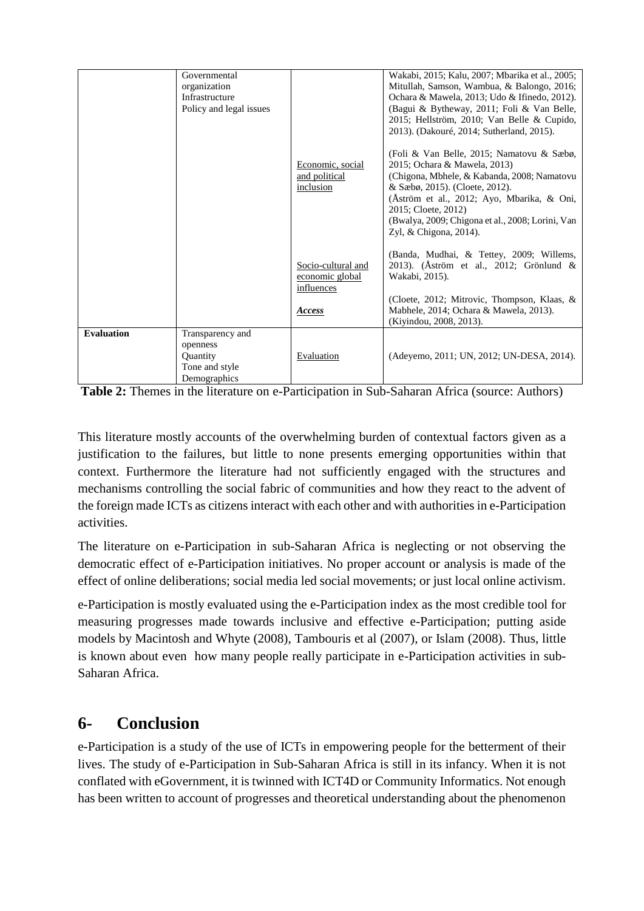|                   | Governmental<br>organization<br>Infrastructure                             |                                                                      | Wakabi, 2015; Kalu, 2007; Mbarika et al., 2005;<br>Mitullah, Samson, Wambua, & Balongo, 2016;<br>Ochara & Mawela, 2013; Udo & Ifinedo, 2012).                                                                                                                                                                                                                                                                                                          |
|-------------------|----------------------------------------------------------------------------|----------------------------------------------------------------------|--------------------------------------------------------------------------------------------------------------------------------------------------------------------------------------------------------------------------------------------------------------------------------------------------------------------------------------------------------------------------------------------------------------------------------------------------------|
|                   | Policy and legal issues                                                    | Economic, social<br>and political<br>inclusion                       | (Bagui & Bytheway, 2011; Foli & Van Belle,<br>2015; Hellström, 2010; Van Belle & Cupido,<br>2013). (Dakouré, 2014; Sutherland, 2015).<br>(Foli & Van Belle, 2015; Namatovu & Sæbø,<br>2015; Ochara & Mawela, 2013)<br>(Chigona, Mbhele, & Kabanda, 2008; Namatovu<br>& Sæbø, 2015). (Cloete, 2012).<br>(Aström et al., 2012; Ayo, Mbarika, & Oni,<br>2015; Cloete, 2012)<br>(Bwalya, 2009; Chigona et al., 2008; Lorini, Van<br>Zyl, & Chigona, 2014). |
|                   |                                                                            | Socio-cultural and<br>economic global<br>influences<br><b>Access</b> | (Banda, Mudhai, & Tettey, 2009; Willems,<br>2013). (Åström et al., 2012; Grönlund &<br>Wakabi, 2015).<br>(Cloete, 2012; Mitrovic, Thompson, Klaas, &<br>Mabhele, 2014; Ochara & Mawela, 2013).<br>(Kiyindou, 2008, 2013).                                                                                                                                                                                                                              |
| <b>Evaluation</b> | Transparency and<br>openness<br>Quantity<br>Tone and style<br>Demographics | Evaluation                                                           | (Adeyemo, 2011; UN, 2012; UN-DESA, 2014).                                                                                                                                                                                                                                                                                                                                                                                                              |

**Table 2:** Themes in the literature on e-Participation in Sub-Saharan Africa (source: Authors)

This literature mostly accounts of the overwhelming burden of contextual factors given as a justification to the failures, but little to none presents emerging opportunities within that context. Furthermore the literature had not sufficiently engaged with the structures and mechanisms controlling the social fabric of communities and how they react to the advent of the foreign made ICTs as citizens interact with each other and with authorities in e-Participation activities.

The literature on e-Participation in sub-Saharan Africa is neglecting or not observing the democratic effect of e-Participation initiatives. No proper account or analysis is made of the effect of online deliberations; social media led social movements; or just local online activism.

e-Participation is mostly evaluated using the e-Participation index as the most credible tool for measuring progresses made towards inclusive and effective e-Participation; putting aside models by Macintosh and Whyte (2008), Tambouris et al (2007), or Islam (2008). Thus, little is known about even how many people really participate in e-Participation activities in sub-Saharan Africa.

## **6- Conclusion**

e-Participation is a study of the use of ICTs in empowering people for the betterment of their lives. The study of e-Participation in Sub-Saharan Africa is still in its infancy. When it is not conflated with eGovernment, it is twinned with ICT4D or Community Informatics. Not enough has been written to account of progresses and theoretical understanding about the phenomenon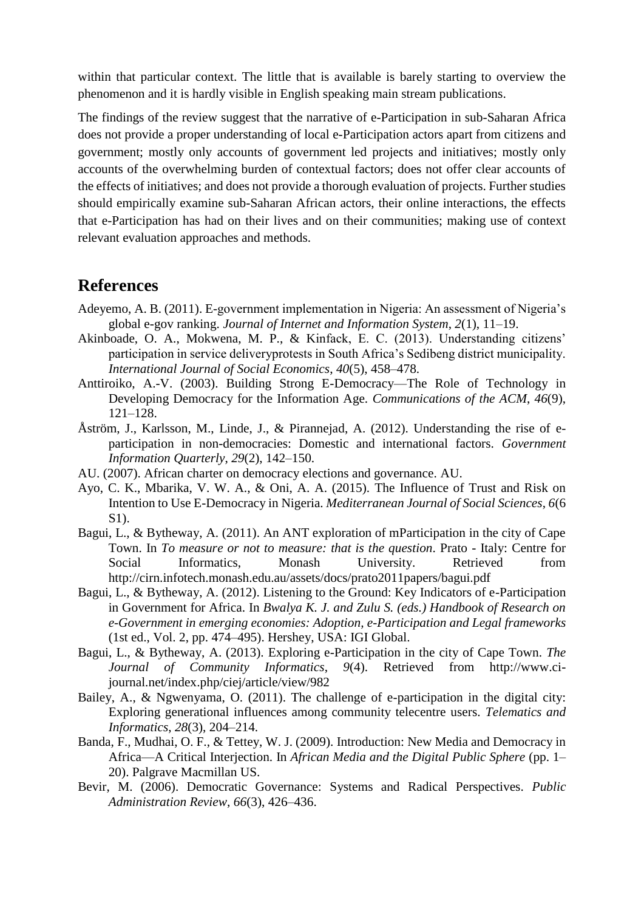within that particular context. The little that is available is barely starting to overview the phenomenon and it is hardly visible in English speaking main stream publications.

The findings of the review suggest that the narrative of e-Participation in sub-Saharan Africa does not provide a proper understanding of local e-Participation actors apart from citizens and government; mostly only accounts of government led projects and initiatives; mostly only accounts of the overwhelming burden of contextual factors; does not offer clear accounts of the effects of initiatives; and does not provide a thorough evaluation of projects. Further studies should empirically examine sub-Saharan African actors, their online interactions, the effects that e-Participation has had on their lives and on their communities; making use of context relevant evaluation approaches and methods.

#### **References**

- Adeyemo, A. B. (2011). E-government implementation in Nigeria: An assessment of Nigeria's global e-gov ranking. *Journal of Internet and Information System*, *2*(1), 11–19.
- Akinboade, O. A., Mokwena, M. P., & Kinfack, E. C. (2013). Understanding citizens' participation in service deliveryprotests in South Africa's Sedibeng district municipality. *International Journal of Social Economics*, *40*(5), 458–478.
- Anttiroiko, A.-V. (2003). Building Strong E-Democracy—The Role of Technology in Developing Democracy for the Information Age. *Communications of the ACM*, *46*(9), 121–128.
- Åström, J., Karlsson, M., Linde, J., & Pirannejad, A. (2012). Understanding the rise of eparticipation in non-democracies: Domestic and international factors. *Government Information Quarterly*, *29*(2), 142–150.
- AU. (2007). African charter on democracy elections and governance. AU.
- Ayo, C. K., Mbarika, V. W. A., & Oni, A. A. (2015). The Influence of Trust and Risk on Intention to Use E-Democracy in Nigeria. *Mediterranean Journal of Social Sciences*, *6*(6 S1).
- Bagui, L., & Bytheway, A. (2011). An ANT exploration of mParticipation in the city of Cape Town. In *To measure or not to measure: that is the question*. Prato - Italy: Centre for Social Informatics, Monash University. Retrieved from http://cirn.infotech.monash.edu.au/assets/docs/prato2011papers/bagui.pdf
- Bagui, L., & Bytheway, A. (2012). Listening to the Ground: Key Indicators of e-Participation in Government for Africa. In *Bwalya K. J. and Zulu S. (eds.) Handbook of Research on e-Government in emerging economies: Adoption, e-Participation and Legal frameworks* (1st ed., Vol. 2, pp. 474–495). Hershey, USA: IGI Global.
- Bagui, L., & Bytheway, A. (2013). Exploring e-Participation in the city of Cape Town. *The Journal of Community Informatics*, *9*(4). Retrieved from http://www.cijournal.net/index.php/ciej/article/view/982
- Bailey, A., & Ngwenyama, O. (2011). The challenge of e-participation in the digital city: Exploring generational influences among community telecentre users. *Telematics and Informatics*, *28*(3), 204–214.
- Banda, F., Mudhai, O. F., & Tettey, W. J. (2009). Introduction: New Media and Democracy in Africa—A Critical Interjection. In *African Media and the Digital Public Sphere* (pp. 1– 20). Palgrave Macmillan US.
- Bevir, M. (2006). Democratic Governance: Systems and Radical Perspectives. *Public Administration Review*, *66*(3), 426–436.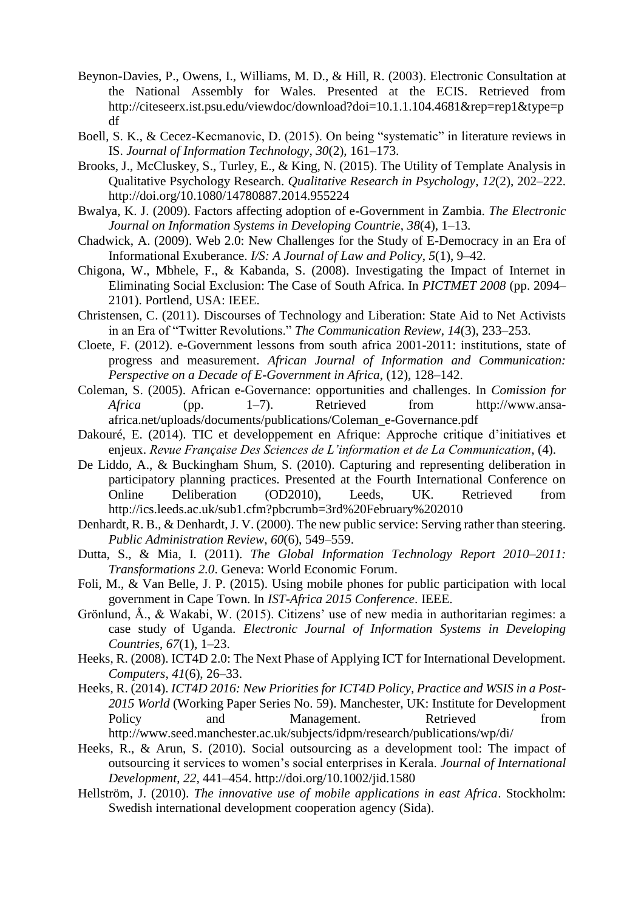- Beynon-Davies, P., Owens, I., Williams, M. D., & Hill, R. (2003). Electronic Consultation at the National Assembly for Wales. Presented at the ECIS. Retrieved from http://citeseerx.ist.psu.edu/viewdoc/download?doi=10.1.1.104.4681&rep=rep1&type=p df
- Boell, S. K., & Cecez-Kecmanovic, D. (2015). On being "systematic" in literature reviews in IS. *Journal of Information Technology*, *30*(2), 161–173.
- Brooks, J., McCluskey, S., Turley, E., & King, N. (2015). The Utility of Template Analysis in Qualitative Psychology Research. *Qualitative Research in Psychology*, *12*(2), 202–222. http://doi.org/10.1080/14780887.2014.955224
- Bwalya, K. J. (2009). Factors affecting adoption of e-Government in Zambia. *The Electronic Journal on Information Systems in Developing Countrie*, *38*(4), 1–13.
- Chadwick, A. (2009). Web 2.0: New Challenges for the Study of E-Democracy in an Era of Informational Exuberance. *I/S: A Journal of Law and Policy*, *5*(1), 9–42.
- Chigona, W., Mbhele, F., & Kabanda, S. (2008). Investigating the Impact of Internet in Eliminating Social Exclusion: The Case of South Africa. In *PICTMET 2008* (pp. 2094– 2101). Portlend, USA: IEEE.
- Christensen, C. (2011). Discourses of Technology and Liberation: State Aid to Net Activists in an Era of "Twitter Revolutions." *The Communication Review*, *14*(3), 233–253.
- Cloete, F. (2012). e-Government lessons from south africa 2001-2011: institutions, state of progress and measurement. *African Journal of Information and Communication: Perspective on a Decade of E-Government in Africa*, (12), 128–142.
- Coleman, S. (2005). African e-Governance: opportunities and challenges. In *Comission for Africa* (pp. 1–7). Retrieved from http://www.ansaafrica.net/uploads/documents/publications/Coleman\_e-Governance.pdf
- Dakouré, E. (2014). TIC et developpement en Afrique: Approche critique d'initiatives et enjeux. *Revue Française Des Sciences de L'information et de La Communication*, (4).
- De Liddo, A., & Buckingham Shum, S. (2010). Capturing and representing deliberation in participatory planning practices. Presented at the Fourth International Conference on Online Deliberation (OD2010), Leeds, UK. Retrieved from http://ics.leeds.ac.uk/sub1.cfm?pbcrumb=3rd%20February%202010
- Denhardt, R. B., & Denhardt, J. V. (2000). The new public service: Serving rather than steering. *Public Administration Review*, *60*(6), 549–559.
- Dutta, S., & Mia, I. (2011). *The Global Information Technology Report 2010–2011: Transformations 2.0*. Geneva: World Economic Forum.
- Foli, M., & Van Belle, J. P. (2015). Using mobile phones for public participation with local government in Cape Town. In *IST-Africa 2015 Conference*. IEEE.
- Grönlund, Å., & Wakabi, W. (2015). Citizens' use of new media in authoritarian regimes: a case study of Uganda. *Electronic Journal of Information Systems in Developing Countries*, *67*(1), 1–23.
- Heeks, R. (2008). ICT4D 2.0: The Next Phase of Applying ICT for International Development. *Computers*, *41*(6), 26–33.
- Heeks, R. (2014). *ICT4D 2016: New Priorities for ICT4D Policy, Practice and WSIS in a Post-2015 World* (Working Paper Series No. 59). Manchester, UK: Institute for Development Policy and Management. Retrieved from http://www.seed.manchester.ac.uk/subjects/idpm/research/publications/wp/di/
- Heeks, R., & Arun, S. (2010). Social outsourcing as a development tool: The impact of outsourcing it services to women's social enterprises in Kerala. *Journal of International Development*, *22*, 441–454. http://doi.org/10.1002/jid.1580
- Hellström, J. (2010). *The innovative use of mobile applications in east Africa*. Stockholm: Swedish international development cooperation agency (Sida).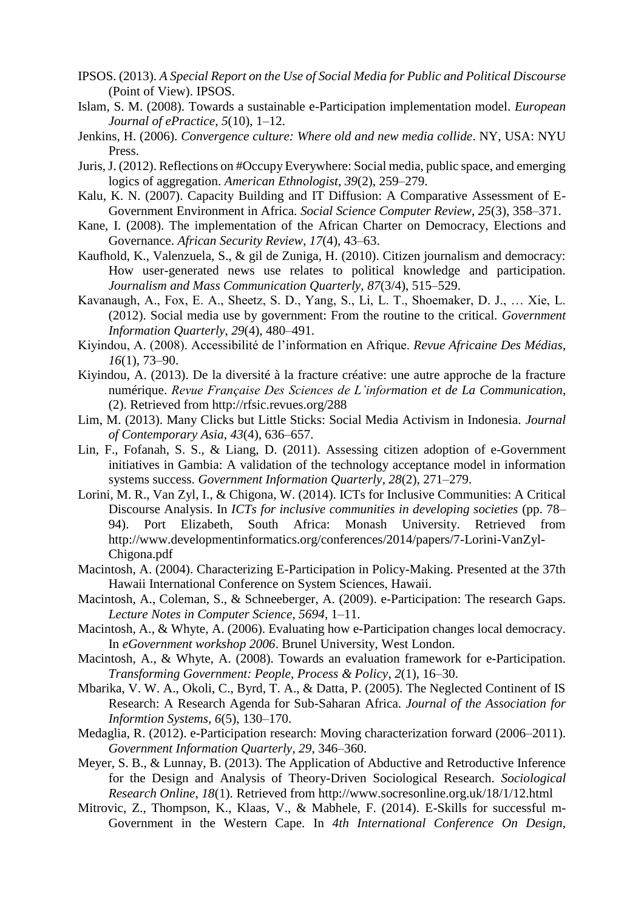- IPSOS. (2013). *A Special Report on the Use of Social Media for Public and Political Discourse* (Point of View). IPSOS.
- Islam, S. M. (2008). Towards a sustainable e-Participation implementation model. *European Journal of ePractice*, *5*(10), 1–12.
- Jenkins, H. (2006). *Convergence culture: Where old and new media collide*. NY, USA: NYU Press.
- Juris, J. (2012). Reflections on #Occupy Everywhere: Social media, public space, and emerging logics of aggregation. *American Ethnologist*, *39*(2), 259–279.
- Kalu, K. N. (2007). Capacity Building and IT Diffusion: A Comparative Assessment of E-Government Environment in Africa. *Social Science Computer Review*, *25*(3), 358–371.
- Kane, I. (2008). The implementation of the African Charter on Democracy, Elections and Governance. *African Security Review*, *17*(4), 43–63.
- Kaufhold, K., Valenzuela, S., & gil de Zuniga, H. (2010). Citizen journalism and democracy: How user-generated news use relates to political knowledge and participation. *Journalism and Mass Communication Quarterly*, *87*(3/4), 515–529.
- Kavanaugh, A., Fox, E. A., Sheetz, S. D., Yang, S., Li, L. T., Shoemaker, D. J., … Xie, L. (2012). Social media use by government: From the routine to the critical. *Government Information Quarterly*, *29*(4), 480–491.
- Kiyindou, A. (2008). Accessibilité de l'information en Afrique. *Revue Africaine Des Médias*, *16*(1), 73–90.
- Kiyindou, A. (2013). De la diversité à la fracture créative: une autre approche de la fracture numérique. *Revue Française Des Sciences de L'information et de La Communication*, (2). Retrieved from http://rfsic.revues.org/288
- Lim, M. (2013). Many Clicks but Little Sticks: Social Media Activism in Indonesia. *Journal of Contemporary Asia*, *43*(4), 636–657.
- Lin, F., Fofanah, S. S., & Liang, D. (2011). Assessing citizen adoption of e-Government initiatives in Gambia: A validation of the technology acceptance model in information systems success. *Government Information Quarterly*, *28*(2), 271–279.
- Lorini, M. R., Van Zyl, I., & Chigona, W. (2014). ICTs for Inclusive Communities: A Critical Discourse Analysis. In *ICTs for inclusive communities in developing societies* (pp. 78– 94). Port Elizabeth, South Africa: Monash University. Retrieved from http://www.developmentinformatics.org/conferences/2014/papers/7-Lorini-VanZyl-Chigona.pdf
- Macintosh, A. (2004). Characterizing E-Participation in Policy-Making. Presented at the 37th Hawaii International Conference on System Sciences, Hawaii.
- Macintosh, A., Coleman, S., & Schneeberger, A. (2009). e-Participation: The research Gaps. *Lecture Notes in Computer Science*, *5694*, 1–11.
- Macintosh, A., & Whyte, A. (2006). Evaluating how e-Participation changes local democracy. In *eGovernment workshop 2006*. Brunel University, West London.
- Macintosh, A., & Whyte, A. (2008). Towards an evaluation framework for e-Participation. *Transforming Government: People, Process & Policy*, *2*(1), 16–30.
- Mbarika, V. W. A., Okoli, C., Byrd, T. A., & Datta, P. (2005). The Neglected Continent of IS Research: A Research Agenda for Sub-Saharan Africa. *Journal of the Association for Informtion Systems*, *6*(5), 130–170.
- Medaglia, R. (2012). e-Participation research: Moving characterization forward (2006–2011). *Government Information Quarterly*, *29*, 346–360.
- Meyer, S. B., & Lunnay, B. (2013). The Application of Abductive and Retroductive Inference for the Design and Analysis of Theory-Driven Sociological Research. *Sociological Research Online*, *18*(1). Retrieved from http://www.socresonline.org.uk/18/1/12.html
- Mitrovic, Z., Thompson, K., Klaas, V., & Mabhele, F. (2014). E-Skills for successful m-Government in the Western Cape. In *4th International Conference On Design,*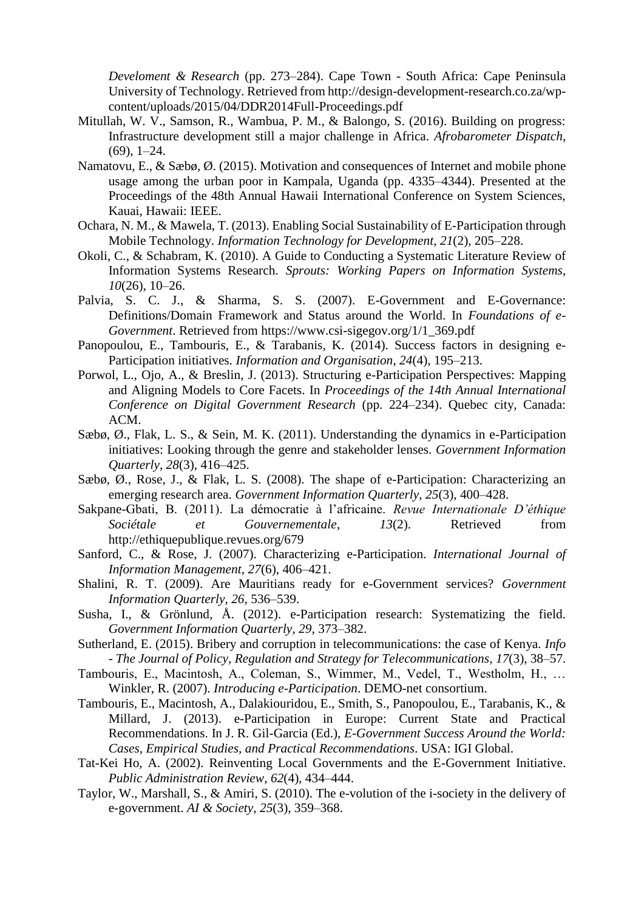*Develoment & Research* (pp. 273–284). Cape Town - South Africa: Cape Peninsula University of Technology. Retrieved from http://design-development-research.co.za/wpcontent/uploads/2015/04/DDR2014Full-Proceedings.pdf

- Mitullah, W. V., Samson, R., Wambua, P. M., & Balongo, S. (2016). Building on progress: Infrastructure development still a major challenge in Africa. *Afrobarometer Dispatch*, (69), 1–24.
- Namatovu, E., & Sæbø, Ø. (2015). Motivation and consequences of Internet and mobile phone usage among the urban poor in Kampala, Uganda (pp. 4335–4344). Presented at the Proceedings of the 48th Annual Hawaii International Conference on System Sciences, Kauai, Hawaii: IEEE.
- Ochara, N. M., & Mawela, T. (2013). Enabling Social Sustainability of E-Participation through Mobile Technology. *Information Technology for Development*, *21*(2), 205–228.
- Okoli, C., & Schabram, K. (2010). A Guide to Conducting a Systematic Literature Review of Information Systems Research. *Sprouts: Working Papers on Information Systems*, *10*(26), 10–26.
- Palvia, S. C. J., & Sharma, S. S. (2007). E-Government and E-Governance: Definitions/Domain Framework and Status around the World. In *Foundations of e-Government*. Retrieved from https://www.csi-sigegov.org/1/1\_369.pdf
- Panopoulou, E., Tambouris, E., & Tarabanis, K. (2014). Success factors in designing e-Participation initiatives. *Information and Organisation*, *24*(4), 195–213.
- Porwol, L., Ojo, A., & Breslin, J. (2013). Structuring e-Participation Perspectives: Mapping and Aligning Models to Core Facets. In *Proceedings of the 14th Annual International Conference on Digital Government Research* (pp. 224–234). Quebec city, Canada: ACM.
- Sæbø, Ø., Flak, L. S., & Sein, M. K. (2011). Understanding the dynamics in e-Participation initiatives: Looking through the genre and stakeholder lenses. *Government Information Quarterly*, *28*(3), 416–425.
- Sæbø, Ø., Rose, J., & Flak, L. S. (2008). The shape of e-Participation: Characterizing an emerging research area. *Government Information Quarterly*, *25*(3), 400–428.
- Sakpane-Gbati, B. (2011). La démocratie à l'africaine. *Revue Internationale D'éthique Sociétale et Gouvernementale*, *13*(2). Retrieved from http://ethiquepublique.revues.org/679
- Sanford, C., & Rose, J. (2007). Characterizing e-Participation. *International Journal of Information Management*, *27*(6), 406–421.
- Shalini, R. T. (2009). Are Mauritians ready for e-Government services? *Government Information Quarterly*, *26*, 536–539.
- Susha, I., & Grönlund, Å. (2012). e-Participation research: Systematizing the field. *Government Information Quarterly*, *29*, 373–382.
- Sutherland, E. (2015). Bribery and corruption in telecommunications: the case of Kenya. *Info - The Journal of Policy, Regulation and Strategy for Telecommunications*, *17*(3), 38–57.
- Tambouris, E., Macintosh, A., Coleman, S., Wimmer, M., Vedel, T., Westholm, H., … Winkler, R. (2007). *Introducing e-Participation*. DEMO-net consortium.
- Tambouris, E., Macintosh, A., Dalakiouridou, E., Smith, S., Panopoulou, E., Tarabanis, K., & Millard, J. (2013). e-Participation in Europe: Current State and Practical Recommendations. In J. R. Gil-Garcia (Ed.), *E-Government Success Around the World: Cases, Empirical Studies, and Practical Recommendations*. USA: IGI Global.
- Tat-Kei Ho, A. (2002). Reinventing Local Governments and the E-Government Initiative. *Public Administration Review*, *62*(4), 434–444.
- Taylor, W., Marshall, S., & Amiri, S. (2010). The e-volution of the i-society in the delivery of e-government. *AI & Society*, *25*(3), 359–368.